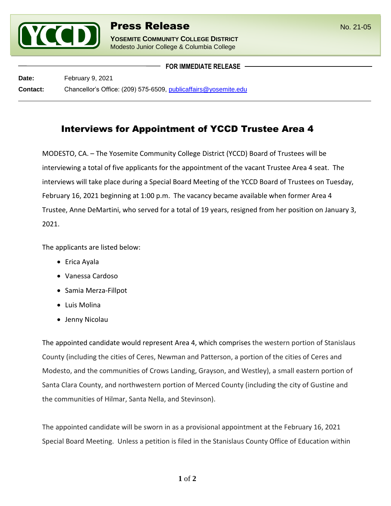

l

**YOSEMITE COMMUNITY COLLEGE DISTRICT** Modesto Junior College & Columbia College

**FOR IMMEDIATE RELEASE**

**Date:** February 9, 2021 **Contact:** Chancellor's Office: (209) 575-6509, [publicaffairs@yosemite.edu](mailto:publicaffairs@yosemite.edu)

## Interviews for Appointment of YCCD Trustee Area 4

MODESTO, CA. – The Yosemite Community College District (YCCD) Board of Trustees will be interviewing a total of five applicants for the appointment of the vacant Trustee Area 4 seat. The interviews will take place during a Special Board Meeting of the YCCD Board of Trustees on Tuesday, February 16, 2021 beginning at 1:00 p.m. The vacancy became available when former Area 4 Trustee, Anne DeMartini, who served for a total of 19 years, resigned from her position on January 3, 2021.

The applicants are listed below:

- Erica Ayala
- Vanessa Cardoso
- Samia Merza-Fillpot
- Luis Molina
- Jenny Nicolau

The appointed candidate would represent Area 4, which comprises the western portion of Stanislaus County (including the cities of Ceres, Newman and Patterson, a portion of the cities of Ceres and Modesto, and the communities of Crows Landing, Grayson, and Westley), a small eastern portion of Santa Clara County, and northwestern portion of Merced County (including the city of Gustine and the communities of Hilmar, Santa Nella, and Stevinson).

The appointed candidate will be sworn in as a provisional appointment at the February 16, 2021 Special Board Meeting. Unless a petition is filed in the Stanislaus County Office of Education within